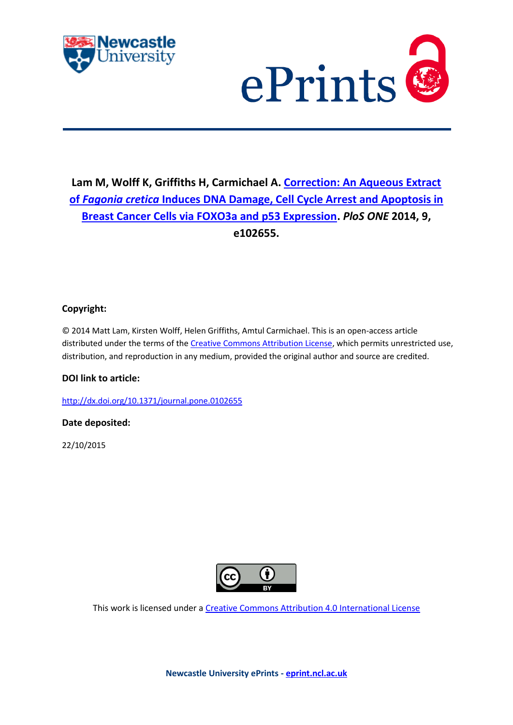



## **Lam M, Wolff K, Griffiths H, Carmichael A. [Correction: An Aqueous Extract](javascript:ViewPublication(215967);)  of** *Fagonia cretica* **[Induces DNA Damage, Cell Cycle Arrest and Apoptosis in](javascript:ViewPublication(215967);)  [Breast Cancer Cells via FOXO3a and p53 Expression.](javascript:ViewPublication(215967);)** *PloS ONE* **2014, 9, e102655.**

## **Copyright:**

© 2014 Matt Lam, Kirsten Wolff, Helen Griffiths, Amtul Carmichael. This is an open-access article distributed under the terms of the [Creative Commons Attribution License,](http://creativecommons.org/licenses/by/4.0/) which permits unrestricted use, distribution, and reproduction in any medium, provided the original author and source are credited.

## **DOI link to article:**

<http://dx.doi.org/10.1371/journal.pone.0102655>

## **Date deposited:**

22/10/2015



This work is licensed under [a Creative Commons Attribution 4.0 International License](http://creativecommons.org/licenses/by/4.0/)

**Newcastle University ePrints - [eprint.ncl.ac.uk](http://eprint.ncl.ac.uk/)**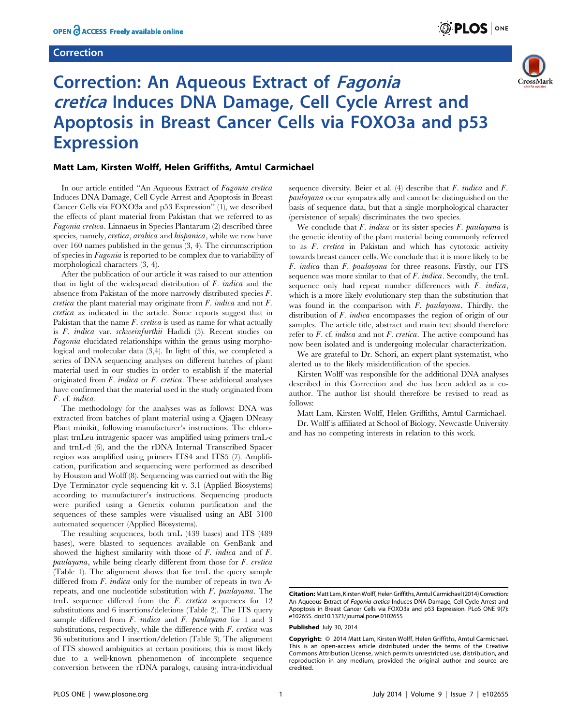#### Correction



# Correction: An Aqueous Extract of Fagonia cretica Induces DNA Damage, Cell Cycle Arrest and Apoptosis in Breast Cancer Cells via FOXO3a and p53 **Expression**

#### Matt Lam, Kirsten Wolff, Helen Griffiths, Amtul Carmichael

In our article entitled ''An Aqueous Extract of Fagonia cretica Induces DNA Damage, Cell Cycle Arrest and Apoptosis in Breast Cancer Cells via FOXO3a and p53 Expression'' (1), we described the effects of plant material from Pakistan that we referred to as Fagonia cretica. Linnaeus in Species Plantarum (2) described three species, namely, *cretica*, *arabica* and *hispanica*, while we now have over 160 names published in the genus (3, 4). The circumscription of species in Fagonia is reported to be complex due to variability of morphological characters (3, 4).

After the publication of our article it was raised to our attention that in light of the widespread distribution of F. indica and the absence from Pakistan of the more narrowly distributed species F. *cretica* the plant material may originate from  $F$ . *indica* and not  $F$ . cretica as indicated in the article. Some reports suggest that in Pakistan that the name  $F$ . cretica is used as name for what actually is F. indica var. schweinfurthii Hadidi (5). Recent studies on Fagonia elucidated relationships within the genus using morphological and molecular data (3,4). In light of this, we completed a series of DNA sequencing analyses on different batches of plant material used in our studies in order to establish if the material originated from F. indica or F. cretica. These additional analyses have confirmed that the material used in the study originated from F. cf. indica.

The methodology for the analyses was as follows: DNA was extracted from batches of plant material using a Qiagen DNeasy Plant minikit, following manufacturer's instructions. The chloroplast trnLeu intragenic spacer was amplified using primers trnL-c and trnL-d (6), and the the rDNA Internal Transcribed Spacer region was amplified using primers ITS4 and ITS5 (7). Amplification, purification and sequencing were performed as described by Houston and Wolff (8). Sequencing was carried out with the Big Dye Terminator cycle sequencing kit v. 3.1 (Applied Biosystems) according to manufacturer's instructions. Sequencing products were purified using a Genetix column purification and the sequences of these samples were visualised using an ABI 3100 automated sequencer (Applied Biosystems).

The resulting sequences, both trnL (439 bases) and ITS (489 bases), were blasted to sequences available on GenBank and showed the highest similarity with those of F. indica and of F. paulayana, while being clearly different from those for F. cretica (Table 1). The alignment shows that for trnL the query sample differed from F. *indica* only for the number of repeats in two Arepeats, and one nucleotide substitution with F. paulayana. The trnL sequence differed from the F. cretica sequences for 12 substitutions and 6 insertions/deletions (Table 2). The ITS query sample differed from  $F$ . *indica* and  $F$ . *paulayana* for 1 and 3 substitutions, respectively, while the difference with  $F$ . cretica was 36 substitutions and 1 insertion/deletion (Table 3). The alignment of ITS showed ambiguities at certain positions; this is most likely due to a well-known phenomenon of incomplete sequence conversion between the rDNA paralogs, causing intra-individual

sequence diversity. Beier et al.  $(4)$  describe that F. indica and F. paulayana occur sympatrically and cannot be distinguished on the basis of sequence data, but that a single morphological character (persistence of sepals) discriminates the two species.

We conclude that  $F$ , *indica* or its sister species  $F$ , *baulayana* is the genetic identity of the plant material being commonly referred to as F. cretica in Pakistan and which has cytotoxic activity towards breast cancer cells. We conclude that it is more likely to be F. indica than F. paulayana for three reasons. Firstly, our ITS sequence was more similar to that of F. indica. Secondly, the trnL sequence only had repeat number differences with F. indica, which is a more likely evolutionary step than the substitution that was found in the comparison with F. paulayana. Thirdly, the distribution of F. indica encompasses the region of origin of our samples. The article title, abstract and main text should therefore refer to  $F$ . cf. *indica* and not  $F$ . *cretica*. The active compound has now been isolated and is undergoing molecular characterization.

We are grateful to Dr. Schori, an expert plant systematist, who alerted us to the likely misidentification of the species.

Kirsten Wolff was responsible for the additional DNA analyses described in this Correction and she has been added as a coauthor. The author list should therefore be revised to read as follows:

Matt Lam, Kirsten Wolff, Helen Griffiths, Amtul Carmichael. Dr. Wolff is affiliated at School of Biology, Newcastle University and has no competing interests in relation to this work.

Citation: Matt Lam, Kirsten Wolff, Helen Griffiths, Amtul Carmichael (2014) Correction: An Aqueous Extract of Fagonia cretica Induces DNA Damage, Cell Cycle Arrest and Apoptosis in Breast Cancer Cells via FOXO3a and p53 Expression. PLoS ONE 9(7): e102655. doi:10.1371/journal.pone.0102655

Published July 30, 2014

Copyright: © 2014 Matt Lam, Kirsten Wolff, Helen Griffiths, Amtul Carmichael. This is an open-access article distributed under the terms of the [Creative](http://creativecommons.org/licenses/by/4.0/) [Commons Attribution License,](http://creativecommons.org/licenses/by/4.0/) which permits unrestricted use, distribution, and reproduction in any medium, provided the original author and source are credited.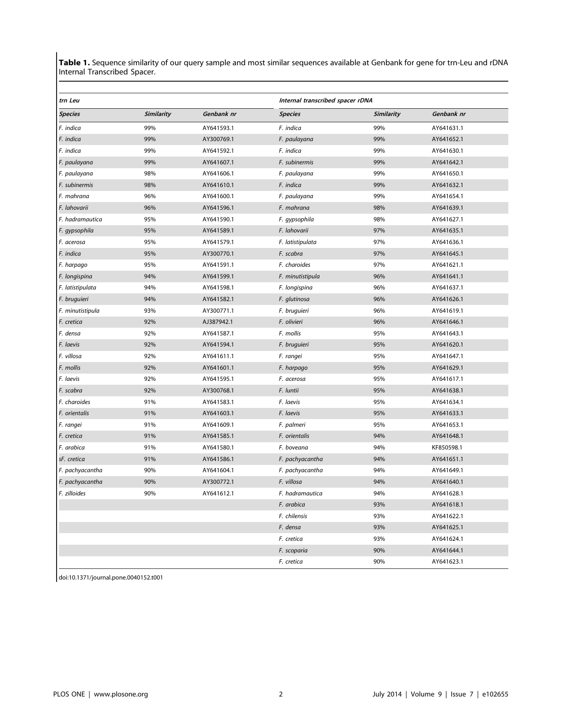Table 1. Sequence similarity of our query sample and most similar sequences available at Genbank for gene for trn-Leu and rDNA Internal Transcribed Spacer.

| Internal transcribed spacer rDNA<br>trn Leu |            |            |                  |            |            |
|---------------------------------------------|------------|------------|------------------|------------|------------|
| Species                                     | Similarity | Genbank nr | <b>Species</b>   | Similarity | Genbank nr |
| F. indica                                   | 99%        | AY641593.1 | F. indica        | 99%        | AY641631.1 |
| F. indica                                   | 99%        | AY300769.1 | F. paulayana     | 99%        | AY641652.1 |
| F. indica                                   | 99%        | AY641592.1 | F. indica        | 99%        | AY641630.1 |
| F. paulayana                                | 99%        | AY641607.1 | F. subinermis    | 99%        | AY641642.1 |
| F. paulayana                                | 98%        | AY641606.1 | F. paulayana     | 99%        | AY641650.1 |
| F. subinermis                               | 98%        | AY641610.1 | F. indica        | 99%        | AY641632.1 |
| F. mahrana                                  | 96%        | AY641600.1 | F. paulayana     | 99%        | AY641654.1 |
| F. lahovarii                                | 96%        | AY641596.1 | F. mahrana       | 98%        | AY641639.1 |
| F. hadramautica                             | 95%        | AY641590.1 | F. gypsophila    | 98%        | AY641627.1 |
| F. gypsophila                               | 95%        | AY641589.1 | F. lahovarii     | 97%        | AY641635.1 |
| F. acerosa                                  | 95%        | AY641579.1 | F. latistipulata | 97%        | AY641636.1 |
| F. indica                                   | 95%        | AY300770.1 | F. scabra        | 97%        | AY641645.1 |
| F. harpago                                  | 95%        | AY641591.1 | F. charoides     | 97%        | AY641621.1 |
| F. longispina                               | 94%        | AY641599.1 | F. minutistipula | 96%        | AY641641.1 |
| F. latistipulata                            | 94%        | AY641598.1 | F. longispina    | 96%        | AY641637.1 |
| F. bruguieri                                | 94%        | AY641582.1 | F. glutinosa     | 96%        | AY641626.1 |
| F. minutistipula                            | 93%        | AY300771.1 | F. bruguieri     | 96%        | AY641619.1 |
| F. cretica                                  | 92%        | AJ387942.1 | F. olivieri      | 96%        | AY641646.1 |
| F. densa                                    | 92%        | AY641587.1 | F. mollis        | 95%        | AY641643.1 |
| F. laevis                                   | 92%        | AY641594.1 | F. bruguieri     | 95%        | AY641620.1 |
| F. villosa                                  | 92%        | AY641611.1 | F. rangei        | 95%        | AY641647.1 |
| F. mollis                                   | 92%        | AY641601.1 | F. harpago       | 95%        | AY641629.1 |
| F. laevis                                   | 92%        | AY641595.1 | F. acerosa       | 95%        | AY641617.1 |
| F. scabra                                   | 92%        | AY300768.1 | F. luntii        | 95%        | AY641638.1 |
| F. charoides                                | 91%        | AY641583.1 | F. laevis        | 95%        | AY641634.1 |
| F. orientalis                               | 91%        | AY641603.1 | F. laevis        | 95%        | AY641633.1 |
| F. rangei                                   | 91%        | AY641609.1 | F. palmeri       | 95%        | AY641653.1 |
| F. cretica                                  | 91%        | AY641585.1 | F. orientalis    | 94%        | AY641648.1 |
| F. arabica                                  | 91%        | AY641580.1 | F. boveana       | 94%        | KF850598.1 |
| sF. cretica                                 | 91%        | AY641586.1 | F. pachyacantha  | 94%        | AY641651.1 |
| F. pachyacantha                             | 90%        | AY641604.1 | F. pachyacantha  | 94%        | AY641649.1 |
| F. pachyacantha                             | 90%        | AY300772.1 | F. villosa       | 94%        | AY641640.1 |
| F. zilloides                                | 90%        | AY641612.1 | F. hadramautica  | 94%        | AY641628.1 |
|                                             |            |            | F. arabica       | 93%        | AY641618.1 |
|                                             |            |            | F. chilensis     | 93%        | AY641622.1 |
|                                             |            |            | F. densa         | 93%        | AY641625.1 |
|                                             |            |            | F. cretica       | 93%        | AY641624.1 |
|                                             |            |            | F. scoparia      | 90%        | AY641644.1 |
|                                             |            |            | F. cretica       | 90%        | AY641623.1 |

doi:10.1371/journal.pone.0040152.t001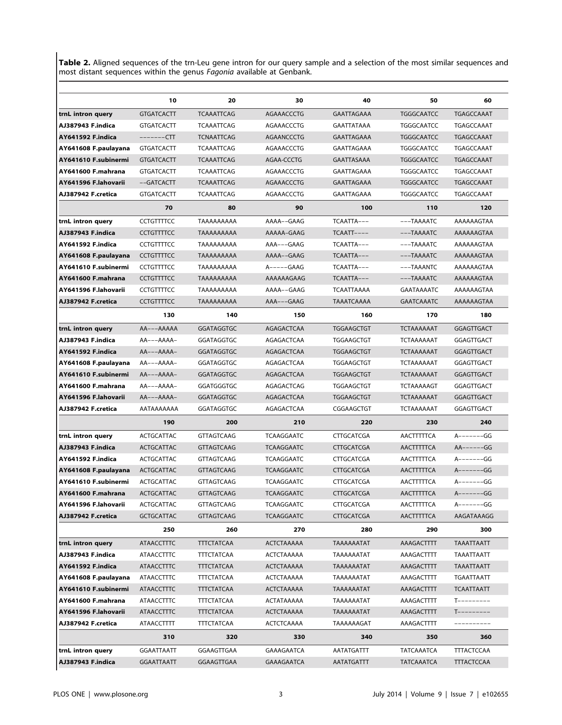Table 2. Aligned sequences of the trn-Leu gene intron for our query sample and a selection of the most similar sequences and most distant sequences within the genus Fagonia available at Genbank.

|                          | 10                | 20                | 30                | 40                | 50                | 60                |
|--------------------------|-------------------|-------------------|-------------------|-------------------|-------------------|-------------------|
| trnL intron query        | <b>GTGATCACTT</b> | <b>TCAAATTCAG</b> | AGAAACCCTG        | GAATTAGAAA        | <b>TGGGCAATCC</b> | <b>TGAGCCAAAT</b> |
| AJ387943 F.indica        | <b>GTGATCACTT</b> | TCAAATTCAG        | AGAAACCCTG        | GAATTATAAA        | <b>TGGGCAATCC</b> | TGAGCCAAAT        |
| <b>AY641592 F.indica</b> | -------CTT        | <b>TCNAATTCAG</b> | AGAANCCCTG        | GAATTAGAAA        | <b>TGGGCAATCC</b> | TGAGCCAAAT        |
| AY641608 F.paulayana     | <b>GTGATCACTT</b> | TCAAATTCAG        | AGAAACCCTG        | GAATTAGAAA        | <b>TGGGCAATCC</b> | TGAGCCAAAT        |
| AY641610 F.subinermi     | <b>GTGATCACTT</b> | <b>TCAAATTCAG</b> | AGAA-CCCTG        | <b>GAATTASAAA</b> | <b>TGGGCAATCC</b> | TGAGCCAAAT        |
| AY641600 F.mahrana       | <b>GTGATCACTT</b> | <b>TCAAATTCAG</b> | AGAAACCCTG        | GAATTAGAAA        | TGGGCAATCC        | TGAGCCAAAT        |
| AY641596 F.lahovarii     | $-$ -GATCACTT     | <b>TCAAATTCAG</b> | AGAAACCCTG        | <b>GAATTAGAAA</b> | <b>TGGGCAATCC</b> | TGAGCCAAAT        |
| AJ387942 F.cretica       | <b>GTGATCACTT</b> | TCAAATTCAG        | AGAAACCCTG        | GAATTAGAAA        | <b>TGGGCAATCC</b> | TGAGCCAAAT        |
|                          | 70                | 80                | 90                | 100               | 110               | 120               |
| trnL intron query        | <b>CCTGTTTTCC</b> | TAAAAAAAAA        | AAAA--GAAG        | TCAATTA---        | ---TAAAATC        | AAAAAAGTAA        |
| AJ387943 F.indica        | <b>CCTGTTTTCC</b> | TAAAAAAAAA        | AAAAA-GAAG        | $TCAATT---$       | $---TAAAATC$      | AAAAAAGTAA        |
| AY641592 F.indica        | CCTGTTTTCC        | TAAAAAAAAA        | AAA---GAAG        | TCAATTA---        | ---TAAAATC        | AAAAAAGTAA        |
| AY641608 F.paulayana     | <b>CCTGTTTTCC</b> | TAAAAAAAAA        | AAAA--GAAG        | TCAATTA---        | $---TAAAATC$      | AAAAAAGTAA        |
| AY641610 F.subinermi     | <b>CCTGTTTTCC</b> | TAAAAAAAAA        | $A---GAAG$        | TCAATTA---        | ---TAAANTC        | AAAAAAGTAA        |
| AY641600 F.mahrana       | <b>CCTGTTTTCC</b> | TAAAAAAAAA        | AAAAAAGAAG        | TCAATTA---        | $---TAAAATC$      | AAAAAAGTAA        |
| AY641596 F.lahovarii     | <b>CCTGTTTTCC</b> | TAAAAAAAA         | AAAA--GAAG        | TCAATTAAAA        | GAATAAAATC        | AAAAAAGTAA        |
| AJ387942 F.cretica       | <b>CCTGTTTTCC</b> | TAAAAAAAAA        | AAA---GAAG        | TAAATCAAAA        | <b>GAATCAAATC</b> | AAAAAAGTAA        |
|                          | 130               | 140               | 150               | 160               | 170               | 180               |
| trnL intron query        | AA---AAAAA        | <b>GGATAGGTGC</b> | <b>AGAGACTCAA</b> | <b>TGGAAGCTGT</b> | <b>TCTAAAAAAT</b> | <b>GGAGTTGACT</b> |
| AJ387943 F.indica        | $AA---AAA-$       | GGATAGGTGC        | AGAGACTCAA        | TGGAAGCTGT        | <b>TCTAAAAAAT</b> | GGAGTTGACT        |
| <b>AY641592 F.indica</b> | $AA---AAA-$       | <b>GGATAGGTGC</b> | AGAGACTCAA        | <b>TGGAAGCTGT</b> | <b>TCTAAAAAAT</b> | <b>GGAGTTGACT</b> |
| AY641608 F.paulayana     | AA---AAAA-        | GGATAGGTGC        | AGAGACTCAA        | TGGAAGCTGT        | <b>TCTAAAAAAT</b> | GGAGTTGACT        |
| AY641610 F.subinermi     | $AA---AAA-$       | <b>GGATAGGTGC</b> | AGAGACTCAA        | <b>TGGAAGCTGT</b> | <b>TCTAAAAAAT</b> | GGAGTTGACT        |
| AY641600 F.mahrana       | $AA---AAA-$       | GGATGGGTGC        | AGAGACTCAG        | TGGAAGCTGT        | <b>TCTAAAAAGT</b> | GGAGTTGACT        |
| AY641596 F.lahovarii     | $AA---AAA-$       | <b>GGATAGGTGC</b> | AGAGACTCAA        | <b>TGGAAGCTGT</b> | <b>TCTAAAAAAT</b> | GGAGTTGACT        |
| AJ387942 F.cretica       | AATAAAAAAA        | GGATAGGTGC        | AGAGACTCAA        | CGGAAGCTGT        | <b>TCTAAAAAAT</b> | GGAGTTGACT        |
|                          | 190               | 200               | 210               | 220               | 230               | 240               |
| trnL intron query        | ACTGCATTAC        | <b>GTTAGTCAAG</b> | TCAAGGAATC        | CTTGCATCGA        | AACTTTTTCA        | A-------GG        |
| AJ387943 F.indica        | ACTGCATTAC        | <b>GTTAGTCAAG</b> | <b>TCAAGGAATC</b> | <b>CTTGCATCGA</b> | AACTTTTTCA        | $AA----GG$        |
| AY641592 F.indica        | ACTGCATTAC        | <b>GTTAGTCAAG</b> | <b>TCAAGGAATC</b> | CTTGCATCGA        | AACTTTTTCA        | $A$ -------GG     |
| AY641608 F.paulayana     | <b>ACTGCATTAC</b> | <b>GTTAGTCAAG</b> | <b>TCAAGGAATC</b> | <b>CTTGCATCGA</b> | AACTTTTTCA        | $A$ -------GG     |
| AY641610 F.subinermi     | ACTGCATTAC        | <b>GTTAGTCAAG</b> | <b>TCAAGGAATC</b> | <b>CTTGCATCGA</b> | AACTTTTTCA        | $A$ -------GG     |
| AY641600 F.mahrana       | <b>ACTGCATTAC</b> | <b>GTTAGTCAAG</b> | <b>TCAAGGAATC</b> | <b>CTTGCATCGA</b> | AACTTTTTCA        | $A$ -------GG     |
| AY641596 F.lahovarii     | ACTGCATTAC        | GTTAGTCAAG        | TCAAGGAATC        | CTTGCATCGA        | AACTTTTTCA        | A-------GG        |
| AJ387942 F.cretica       | <b>GCTGCATTAC</b> | <b>GTTAGTCAAG</b> | <b>TCAAGGAATC</b> | <b>CTTGCATCGA</b> | <b>AACTTTTTCA</b> | AAGATAAAGG        |
|                          | 250               | 260               | 270               | 280               | 290               | 300               |
| trnL intron query        | <b>ATAACCTTTC</b> | <b>TTTCTATCAA</b> | <b>ACTCTAAAAA</b> | TAAAAAATAT        | AAAGACTTTT        | TAAATTAATT        |
| AJ387943 F.indica        | ATAACCTTTC        | TTTCTATCAA        | ACTCTAAAAA        | TAAAAAATAT        | AAAGACTTTT        | TAAATTAATT        |
| AY641592 F.indica        | <b>ATAACCTTTC</b> | <b>TTTCTATCAA</b> | <b>ACTCTAAAAA</b> | TAAAAAATAT        | AAAGACTTTT        | TAAATTAATT        |
| AY641608 F.paulayana     | ATAACCTTTC        | <b>TTTCTATCAA</b> | <b>ACTCTAAAAA</b> | TAAAAAATAT        | AAAGACTTTT        | TGAATTAATT        |
| AY641610 F.subinermi     | <b>ATAACCTTTC</b> | <b>TTTCTATCAA</b> | <b>ACTCTAAAAA</b> | TAAAAAATAT        | AAAGACTTTT        | <b>TCAATTAATT</b> |
| AY641600 F.mahrana       | ATAACCTTTC        | <b>TTTCTATCAA</b> | ACTATAAAAA        | TAAAAAATAT        | AAAGACTTTT        | $T$ ---------     |
| AY641596 F.lahovarii     | <b>ATAACCTTTC</b> | <b>TTTCTATCAA</b> | ACTCTAAAAA        | TAAAAAATAT        | AAAGACTTTT        | $T$ ---------     |
| AJ387942 F.cretica       | ATAACCTTTT        | <b>TTTCTATCAA</b> | ACTCTCAAAA        | TAAAAAAGAT        | AAAGACTTTT        |                   |
|                          | 310               | 320               | 330               | 340               | 350               | 360               |
| trnL intron query        | <b>GGAATTAATT</b> | GGAAGTTGAA        | GAAAGAATCA        | AATATGATTT        | <b>TATCAAATCA</b> | <b>TTTACTCCAA</b> |
| AJ387943 F.indica        | <b>GGAATTAATT</b> | GGAAGTTGAA        | GAAAGAATCA        | AATATGATTT        | <b>TATCAAATCA</b> | <b>TTTACTCCAA</b> |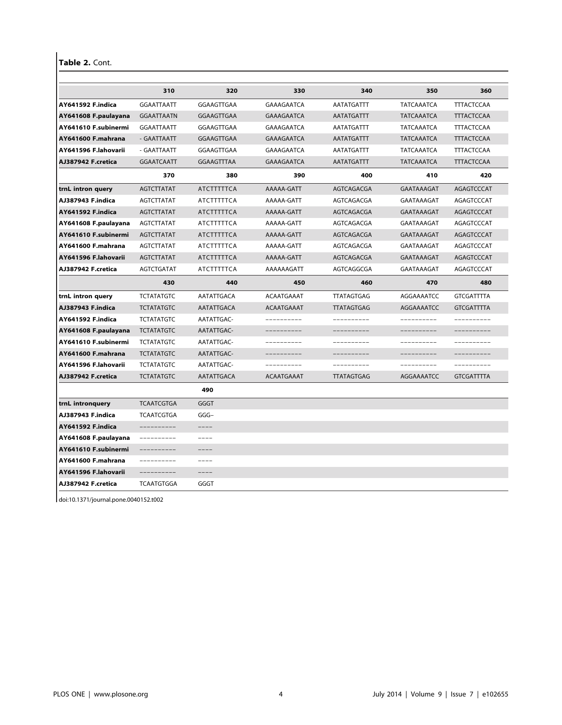Table 2. Cont.

|                          | 310               | 320               | 330               | 340               | 350                | 360               |
|--------------------------|-------------------|-------------------|-------------------|-------------------|--------------------|-------------------|
| <b>AY641592 F.indica</b> | <b>GGAATTAATT</b> | GGAAGTTGAA        | GAAAGAATCA        | <b>AATATGATTT</b> | <b>TATCAAATCA</b>  | <b>TTTACTCCAA</b> |
| AY641608 F.paulayana     | <b>GGAATTAATN</b> | GGAAGTTGAA        | <b>GAAAGAATCA</b> | <b>AATATGATTT</b> | <b>TATCAAATCA</b>  | <b>TTTACTCCAA</b> |
| AY641610 F.subinermi     | <b>GGAATTAATT</b> | GGAAGTTGAA        | GAAAGAATCA        | AATATGATTT        | <b>TATCAAATCA</b>  | <b>TTTACTCCAA</b> |
| AY641600 F.mahrana       | - GAATTAATT       | <b>GGAAGTTGAA</b> | <b>GAAAGAATCA</b> | AATATGATTT        | <b>TATCAAATCA</b>  | <b>TTTACTCCAA</b> |
| AY641596 F.lahovarii     | - GAATTAATT       | GGAAGTTGAA        | GAAAGAATCA        | AATATGATTT        | <b>TATCAAATCA</b>  | <b>TTTACTCCAA</b> |
| AJ387942 F.cretica       | <b>GGAATCAATT</b> | <b>GGAAGTTTAA</b> | <b>GAAAGAATCA</b> | <b>AATATGATTT</b> | <b>TATCAAATCA</b>  | <b>TTTACTCCAA</b> |
|                          | 370               | 380               | 390               | 400               | 410                | 420               |
| trnL intron query        | <b>AGTCTTATAT</b> | <b>ATCTTTTTCA</b> | AAAAA-GATT        | AGTCAGACGA        | <b>GAATAAAGAT</b>  | <b>AGAGTCCCAT</b> |
| AJ387943 F.indica        | AGTCTTATAT        | ATCTTTTTCA        | AAAAA-GATT        | AGTCAGACGA        | <b>GAATAAAGAT</b>  | AGAGTCCCAT        |
| <b>AY641592 F.indica</b> | <b>AGTCTTATAT</b> | ATCTTTTTCA        | AAAAA-GATT        | AGTCAGACGA        | <b>GAATAAAGAT</b>  | <b>AGAGTCCCAT</b> |
| AY641608 F.paulayana     | AGTCTTATAT        | ATCTTTTTCA        | AAAAA-GATT        | AGTCAGACGA        | GAATAAAGAT         | AGAGTCCCAT        |
| AY641610 F.subinermi     | <b>AGTCTTATAT</b> | ATCTTTTTCA        | AAAAA-GATT        | AGTCAGACGA        | GAATAAAGAT         | AGAGTCCCAT        |
| AY641600 F.mahrana       | AGTCTTATAT        | ATCTTTTTCA        | AAAAA-GATT        | AGTCAGACGA        | GAATAAAGAT         | AGAGTCCCAT        |
| AY641596 F.lahovarii     | <b>AGTCTTATAT</b> | ATCTTTTTCA        | AAAAA-GATT        | AGTCAGACGA        | GAATAAAGAT         | AGAGTCCCAT        |
| AJ387942 F.cretica       | AGTCTGATAT        | ATCTTTTTCA        | AAAAAAGATT        | AGTCAGGCGA        | GAATAAAGAT         | AGAGTCCCAT        |
|                          | 430               | 440               | 450               | 460               | 470                | 480               |
| trnL intron query        | <b>TCTATATGTC</b> | AATATTGACA        | <b>ACAATGAAAT</b> | <b>TTATAGTGAG</b> | AGGAAAATCC         | <b>GTCGATTTTA</b> |
| AJ387943 F.indica        | <b>TCTATATGTC</b> | AATATTGACA        | <b>ACAATGAAAT</b> | <b>TTATAGTGAG</b> | <b>AGGAAAAATCC</b> | <b>GTCGATTTTA</b> |
| <b>AY641592 F.indica</b> | <b>TCTATATGTC</b> | AATATTGAC-        | ----------        | -----------       | ----------         | ----------        |
| AY641608 F.paulayana     | <b>TCTATATGTC</b> | AATATTGAC-        | __________        | __________        | __________         | __________        |
| AY641610 F.subinermi     | <b>TCTATATGTC</b> | AATATTGAC-        | __________        | ----------        | ----------         | ----------        |
| AY641600 F.mahrana       | <b>TCTATATGTC</b> | AATATTGAC-        | -----------       | -----------       | -----------        | -----------       |
| AY641596 F.lahovarii     | <b>TCTATATGTC</b> | AATATTGAC-        | __________        | -----------       | __________         | __________        |
| AJ387942 F.cretica       | <b>TCTATATGTC</b> | AATATTGACA        | <b>ACAATGAAAT</b> | <b>TTATAGTGAG</b> | AGGAAAATCC         | <b>GTCGATTTTA</b> |
|                          |                   | 490               |                   |                   |                    |                   |
| trnL intronquery         | <b>TCAATCGTGA</b> | GGGT              |                   |                   |                    |                   |
| AJ387943 F.indica        | <b>TCAATCGTGA</b> | $GGG-$            |                   |                   |                    |                   |
| <b>AY641592 F.indica</b> | ----------        | $--- -$           |                   |                   |                    |                   |
| AY641608 F.paulayana     | ----------        | $--- -$           |                   |                   |                    |                   |
| AY641610 F.subinermi     | -----------       | $--- -$           |                   |                   |                    |                   |
| AY641600 F.mahrana       | ----------        | ----              |                   |                   |                    |                   |
| AY641596 F.lahovarii     | __________        | $--- -$           |                   |                   |                    |                   |
| AJ387942 F.cretica       | <b>TCAATGTGGA</b> | GGGT              |                   |                   |                    |                   |

doi:10.1371/journal.pone.0040152.t002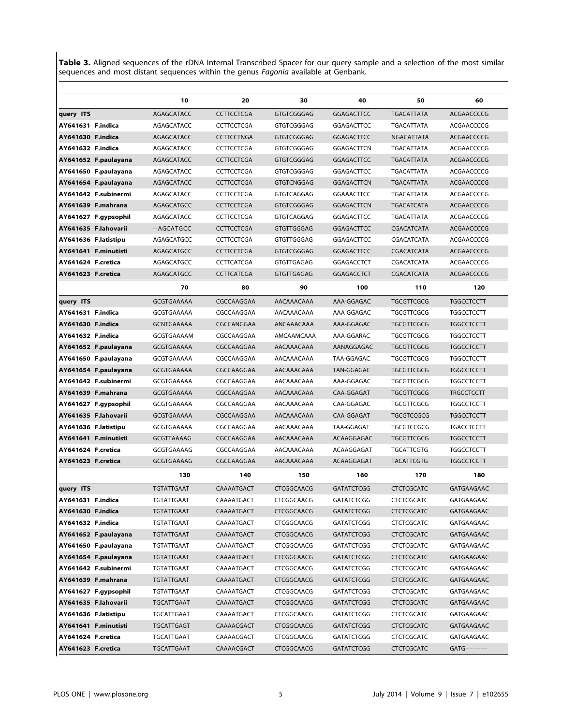Table 3. Aligned sequences of the rDNA Internal Transcribed Spacer for our query sample and a selection of the most similar sequences and most distant sequences within the genus Fagonia available at Genbank.

|                    |                      | 10                | 20                | 30                | 40                | 50                | 60                |
|--------------------|----------------------|-------------------|-------------------|-------------------|-------------------|-------------------|-------------------|
| query ITS          |                      | AGAGCATACC        | <b>CCTTCCTCGA</b> | <b>GTGTCGGGAG</b> | <b>GGAGACTTCC</b> | <b>TGACATTATA</b> | <b>ACGAACCCCG</b> |
| AY641631 F.indica  |                      | AGAGCATACC        | <b>CCTTCCTCGA</b> | GTGTCGGGAG        | GGAGACTTCC        | <b>TGACATTATA</b> | ACGAACCCCG        |
| AY641630 F.indica  |                      | AGAGCATACC        | <b>CCTTCCTNGA</b> | GTGTCGGGAG        | <b>GGAGACTTCC</b> | <b>NGACATTATA</b> | ACGAACCCCG        |
| AY641632 F.indica  |                      | AGAGCATACC        | <b>CCTTCCTCGA</b> | GTGTCGGGAG        | GGAGACTTCN        | <b>TGACATTATA</b> | ACGAACCCCG        |
|                    | AY641652 F.paulayana | AGAGCATACC        | <b>CCTTCCTCGA</b> | <b>GTGTCGGGAG</b> | GGAGACTTCC        | <b>TGACATTATA</b> | ACGAACCCCG        |
|                    | AY641650 F.paulayana | AGAGCATACC        | <b>CCTTCCTCGA</b> | GTGTCGGGAG        | GGAGACTTCC        | TGACATTATA        | ACGAACCCCG        |
|                    | AY641654 F.paulayana | AGAGCATACC        | <b>CCTTCCTCGA</b> | <b>GTGTCNGGAG</b> | <b>GGAGACTTCN</b> | <b>TGACATTATA</b> | ACGAACCCCG        |
|                    | AY641642 F.subinermi | AGAGCATACC        | <b>CCTTCCTCGA</b> | GTGTCAGGAG        | <b>GGAAACTTCC</b> | TGACATTATA        | ACGAACCCCG        |
|                    | AY641639 F.mahrana   | AGAGCATGCC        | <b>CCTTCCTCGA</b> | <b>GTGTCGGGAG</b> | <b>GGAGACTTCN</b> | <b>TGACATCATA</b> | <b>ACGAACCCCG</b> |
|                    | AY641627 F.gypsophil | AGAGCATACC        | <b>CCTTCCTCGA</b> | GTGTCAGGAG        | GGAGACTTCC        | TGACATTATA        | ACGAACCCCG        |
|                    | AY641635 F.lahovarii | --AGCATGCC        | <b>CCTTCCTCGA</b> | GTGTTGGGAG        | GGAGACTTCC        | CGACATCATA        | ACGAACCCCG        |
|                    | AY641636 F.latistipu | AGAGCATGCC        | <b>CCTTCCTCGA</b> | GTGTTGGGAG        | GGAGACTTCC        | CGACATCATA        | ACGAACCCCG        |
|                    | AY641641 F.minutisti | AGAGCATGCC        | <b>CCTTCCTCGA</b> | GTGTCGGGAG        | <b>GGAGACTTCC</b> | CGACATCATA        | ACGAACCCCG        |
| AY641624 F.cretica |                      | AGAGCATGCC        | <b>CCTTCATCGA</b> | GTGTTGAGAG        | GGAGACCTCT        | CGACATCATA        | ACGAACCCCG        |
| AY641623 F.cretica |                      | AGAGCATGCC        | <b>CCTTCATCGA</b> | <b>GTGTTGAGAG</b> | <b>GGAGACCTCT</b> | CGACATCATA        | ACGAACCCCG        |
|                    |                      | 70                | 80                | 90                | 100               | 110               | 120               |
| query ITS          |                      | <b>GCGTGAAAAA</b> | CGCCAAGGAA        | AACAAACAAA        | AAA-GGAGAC        | <b>TGCGTTCGCG</b> | <b>TGGCCTCCTT</b> |
| AY641631 F.indica  |                      | GCGTGAAAAA        | CGCCAAGGAA        | AACAAACAAA        | AAA-GGAGAC        | <b>TGCGTTCGCG</b> | <b>TGGCCTCCTT</b> |
| AY641630 F.indica  |                      | <b>GCNTGAAAAA</b> | CGCCANGGAA        | ANCAAACAAA        | AAA-GGAGAC        | <b>TGCGTTCGCG</b> | <b>TGGCCTCCTT</b> |
| AY641632 F.indica  |                      | <b>GCGTGAAAAM</b> | CGCCAAGGAA        | AMCAAMCAAA        | AAA-GGARAC        | <b>TGCGTTCGCG</b> | <b>TGGCCTCCTT</b> |
|                    | AY641652 F.paulayana | <b>GCGTGAAAAA</b> | CGCCAAGGAA        | AACAAACAAA        | AANAGGAGAC        | <b>TGCGTTCGCG</b> | <b>TGGCCTCCTT</b> |
|                    | AY641650 F.paulayana | GCGTGAAAAA        | CGCCAAGGAA        | AACAAACAAA        | TAA-GGAGAC        | TGCGTTCGCG        | <b>TGGCCTCCTT</b> |
|                    | AY641654 F.paulayana | <b>GCGTGAAAAA</b> | CGCCAAGGAA        | AACAAACAAA        | TAN-GGAGAC        | <b>TGCGTTCGCG</b> | <b>TGGCCTCCTT</b> |
|                    | AY641642 F.subinermi | GCGTGAAAAA        | CGCCAAGGAA        | AACAAACAAA        | AAA-GGAGAC        | <b>TGCGTTCGCG</b> | <b>TGGCCTCCTT</b> |
|                    | AY641639 F.mahrana   | <b>GCGTGAAAAA</b> | CGCCAAGGAA        | AACAAACAAA        | CAA-GGAGAT        | <b>TGCGTTCGCG</b> | <b>TRGCCTCCTT</b> |
|                    | AY641627 F.gypsophil | <b>GCGTGAAAAA</b> | CGCCAAGGAA        | AACAAACAAA        | CAA-GGAGAC        | TGCGTTCGCG        | <b>TGGCCTCCTT</b> |
|                    | AY641635 F.lahovarii | <b>GCGTGAAAAA</b> | CGCCAAGGAA        | AACAAACAAA        | CAA-GGAGAT        | <b>TGCGTCCGCG</b> | <b>TGGCCTCCTT</b> |
|                    | AY641636 F.latistipu | <b>GCGTGAAAAA</b> | CGCCAAGGAA        | AACAAACAAA        | TAA-GGAGAT        | <b>TGCGTCCGCG</b> | <b>TGACCTCCTT</b> |
|                    | AY641641 F.minutisti | <b>GCGTTAAAAG</b> | CGCCAAGGAA        | AACAAACAAA        | ACAAGGAGAC        | <b>TGCGTTCGCG</b> | <b>TGGCCTCCTT</b> |
| AY641624 F.cretica |                      | GCGTGAAAAG        | CGCCAAGGAA        | AACAAACAAA        | ACAAGGAGAT        | <b>TGCATTCGTG</b> | <b>TGGCCTCCTT</b> |
| AY641623 F.cretica |                      | <b>GCGTGAAAAG</b> | CGCCAAGGAA        | AACAAACAAA        | ACAAGGAGAT        | <b>TACATTCGTG</b> | <b>TGGCCTCCTT</b> |
|                    |                      | 130               | 140               | 150               | 160               | 170               | 180               |
| query ITS          |                      | <b>TGTATTGAAT</b> | CAAAATGACT        | <b>CTCGGCAACG</b> | <b>GATATCTCGG</b> | <b>CTCTCGCATC</b> | GATGAAGAAC        |
| AY641631 F.indica  |                      | <b>TGTATTGAAT</b> | CAAAATGACT        | CTCGGCAACG        | GATATCTCGG        | CTCTCGCATC        | GATGAAGAAC        |
| AY641630 F.indica  |                      | <b>TGTATTGAAT</b> | CAAAATGACT        | CTCGGCAACG        | <b>GATATCTCGG</b> | <b>CTCTCGCATC</b> | <b>GATGAAGAAC</b> |
| AY641632 F.indica  |                      | <b>TGTATTGAAT</b> | CAAAATGACT        | CTCGGCAACG        | GATATCTCGG        | <b>CTCTCGCATC</b> | GATGAAGAAC        |
|                    | AY641652 F.paulayana | <b>TGTATTGAAT</b> | CAAAATGACT        | CTCGGCAACG        | <b>GATATCTCGG</b> | <b>CTCTCGCATC</b> | GATGAAGAAC        |
|                    | AY641650 F.paulayana | TGTATTGAAT        | CAAAATGACT        | CTCGGCAACG        | GATATCTCGG        | <b>CTCTCGCATC</b> | GATGAAGAAC        |
|                    | AY641654 F.paulayana | <b>TGTATTGAAT</b> | CAAAATGACT        | CTCGGCAACG        | <b>GATATCTCGG</b> | <b>CTCTCGCATC</b> | GATGAAGAAC        |
|                    | AY641642 F.subinermi | TGTATTGAAT        | CAAAATGACT        | CTCGGCAACG        | GATATCTCGG        | <b>CTCTCGCATC</b> | GATGAAGAAC        |
|                    | AY641639 F.mahrana   | TGTATTGAAT        | CAAAATGACT        | CTCGGCAACG        | GATATCTCGG        | <b>CTCTCGCATC</b> | GATGAAGAAC        |
|                    | AY641627 F.gypsophil | TGTATTGAAT        | CAAAATGACT        | CTCGGCAACG        | GATATCTCGG        | <b>CTCTCGCATC</b> | GATGAAGAAC        |
|                    | AY641635 F.lahovarii | TGCATTGAAT        | CAAAATGACT        | CTCGGCAACG        | <b>GATATCTCGG</b> | <b>CTCTCGCATC</b> | GATGAAGAAC        |
|                    | AY641636 F.latistipu | TGCATTGAAT        | CAAAATGACT        | CTCGGCAACG        | GATATCTCGG        | <b>CTCTCGCATC</b> | GATGAAGAAC        |
|                    | AY641641 F.minutisti | TGCATTGAGT        | CAAAACGACT        | CTCGGCAACG        | <b>GATATCTCGG</b> | <b>CTCTCGCATC</b> | GATGAAGAAC        |
| AY641624 F.cretica |                      | TGCATTGAAT        | CAAAACGACT        | CTCGGCAACG        | GATATCTCGG        | CTCTCGCATC        | GATGAAGAAC        |
| AY641623 F.cretica |                      | <b>TGCATTGAAT</b> | CAAAACGACT        | CTCGGCAACG        | <b>GATATCTCGG</b> | <b>CTCTCGCATC</b> | $GATG$ ------     |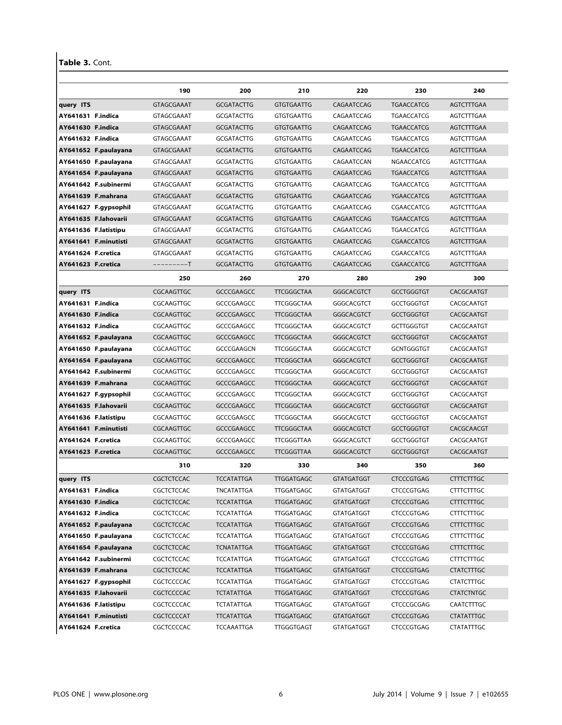### Table 3. Cont.

|                      | 190               | 200               | 210               | 220               | 230               | 240               |
|----------------------|-------------------|-------------------|-------------------|-------------------|-------------------|-------------------|
| query ITS            | GTAGCGAAAT        | <b>GCGATACTTG</b> | <b>GTGTGAATTG</b> | CAGAATCCAG        | <b>TGAACCATCG</b> | <b>AGTCTTTGAA</b> |
| AY641631 F.indica    | GTAGCGAAAT        | <b>GCGATACTTG</b> | <b>GTGTGAATTG</b> | CAGAATCCAG        | <b>TGAACCATCG</b> | AGTCTTTGAA        |
| AY641630 F.indica    | GTAGCGAAAT        | <b>GCGATACTTG</b> | <b>GTGTGAATTG</b> | CAGAATCCAG        | <b>TGAACCATCG</b> | AGTCTTTGAA        |
| AY641632 F.indica    | GTAGCGAAAT        | <b>GCGATACTTG</b> | <b>GTGTGAATTG</b> | CAGAATCCAG        | <b>TGAACCATCG</b> | AGTCTTTGAA        |
| AY641652 F.paulayana | GTAGCGAAAT        | <b>GCGATACTTG</b> | <b>GTGTGAATTG</b> | CAGAATCCAG        | <b>TGAACCATCG</b> | AGTCTTTGAA        |
| AY641650 F.paulayana | GTAGCGAAAT        | <b>GCGATACTTG</b> | <b>GTGTGAATTG</b> | CAGAATCCAN        | NGAACCATCG        | AGTCTTTGAA        |
| AY641654 F.paulayana | GTAGCGAAAT        | <b>GCGATACTTG</b> | <b>GTGTGAATTG</b> | CAGAATCCAG        | <b>TGAACCATCG</b> | AGTCTTTGAA        |
| AY641642 F.subinermi | GTAGCGAAAT        | <b>GCGATACTTG</b> | <b>GTGTGAATTG</b> | CAGAATCCAG        | TGAACCATCG        | AGTCTTTGAA        |
| AY641639 F.mahrana   | <b>GTAGCGAAAT</b> | <b>GCGATACTTG</b> | <b>GTGTGAATTG</b> | CAGAATCCAG        | YGAACCATCG        | AGTCTTTGAA        |
| AY641627 F.gypsophil | GTAGCGAAAT        | <b>GCGATACTTG</b> | <b>GTGTGAATTG</b> | CAGAATCCAG        | CGAACCATCG        | AGTCTTTGAA        |
| AY641635 F.lahovarii | GTAGCGAAAT        | <b>GCGATACTTG</b> | <b>GTGTGAATTG</b> | CAGAATCCAG        | <b>TGAACCATCG</b> | AGTCTTTGAA        |
| AY641636 F.latistipu | GTAGCGAAAT        | <b>GCGATACTTG</b> | <b>GTGTGAATTG</b> | CAGAATCCAG        | <b>TGAACCATCG</b> | AGTCTTTGAA        |
| AY641641 F.minutisti | GTAGCGAAAT        | <b>GCGATACTTG</b> | <b>GTGTGAATTG</b> | CAGAATCCAG        | CGAACCATCG        | AGTCTTTGAA        |
| AY641624 F.cretica   | GTAGCGAAAT        | <b>GCGATACTTG</b> | <b>GTGTGAATTG</b> | CAGAATCCAG        | CGAACCATCG        | AGTCTTTGAA        |
| AY641623 F.cretica   | ---------T        | <b>GCGATACTTG</b> | <b>GTGTGAATTG</b> | CAGAATCCAG        | CGAACCATCG        | AGTCTTTGAA        |
|                      | 250               | 260               | 270               | 280               | 290               | 300               |
| query ITS            | CGCAAGTTGC        | <b>GCCCGAAGCC</b> | <b>TTCGGGCTAA</b> | <b>GGGCACGTCT</b> | <b>GCCTGGGTGT</b> | CACGCAATGT        |
| AY641631 F.indica    | CGCAAGTTGC        | GCCCGAAGCC        | <b>TTCGGGCTAA</b> | GGGCACGTCT        | <b>GCCTGGGTGT</b> | CACGCAATGT        |
| AY641630 F.indica    | CGCAAGTTGC        | <b>GCCCGAAGCC</b> | <b>TTCGGGCTAA</b> | <b>GGGCACGTCT</b> | <b>GCCTGGGTGT</b> | CACGCAATGT        |
| AY641632 F.indica    | CGCAAGTTGC        | GCCCGAAGCC        | TTCGGGCTAA        | GGGCACGTCT        | <b>GCTTGGGTGT</b> | CACGCAATGT        |
| AY641652 F.paulayana | CGCAAGTTGC        | <b>GCCCGAAGCC</b> | <b>TTCGGGCTAA</b> | GGGCACGTCT        | <b>GCCTGGGTGT</b> | CACGCAATGT        |
| AY641650 F.paulayana | CGCAAGTTGC        | GCCCGAAGCN        | <b>TTCGGGCTAA</b> | GGGCACGTCT        | <b>GCNTGGGTGT</b> | CACGCAATGT        |
| AY641654 F.paulayana | CGCAAGTTGC        | <b>GCCCGAAGCC</b> | <b>TTCGGGCTAA</b> | GGGCACGTCT        | <b>GCCTGGGTGT</b> | CACGCAATGT        |
| AY641642 F.subinermi | CGCAAGTTGC        | GCCCGAAGCC        | <b>TTCGGGCTAA</b> | GGGCACGTCT        | <b>GCCTGGGTGT</b> | CACGCAATGT        |
| AY641639 F.mahrana   | CGCAAGTTGC        | <b>GCCCGAAGCC</b> | <b>TTCGGGCTAA</b> | GGGCACGTCT        | <b>GCCTGGGTGT</b> | CACGCAATGT        |
| AY641627 F.gypsophil | CGCAAGTTGC        | GCCCGAAGCC        | <b>TTCGGGCTAA</b> | GGGCACGTCT        | <b>GCCTGGGTGT</b> | CACGCAATGT        |
| AY641635 F.lahovarii | CGCAAGTTGC        | <b>GCCCGAAGCC</b> | <b>TTCGGGCTAA</b> | GGGCACGTCT        | <b>GCCTGGGTGT</b> | CACGCAATGT        |
| AY641636 F.latistipu | CGCAAGTTGC        | GCCCGAAGCC        | <b>TTCGGGCTAA</b> | GGGCACGTCT        | <b>GCCTGGGTGT</b> | CACGCAATGT        |
| AY641641 F.minutisti | CGCAAGTTGC        | <b>GCCCGAAGCC</b> | <b>TTCGGGCTAA</b> | GGGCACGTCT        | <b>GCCTGGGTGT</b> | CACGCAACGT        |
| AY641624 F.cretica   | CGCAAGTTGC        | GCCCGAAGCC        | <b>TTCGGGTTAA</b> | GGGCACGTCT        | <b>GCCTGGGTGT</b> | CACGCAATGT        |
| AY641623 F.cretica   | CGCAAGTTGC        | <b>GCCCGAAGCC</b> | <b>TTCGGGTTAA</b> | GGGCACGTCT        | <b>GCCTGGGTGT</b> | CACGCAATGT        |
|                      | 310               | 320               | 330               | 340               | 350               | 360               |
| query ITS            | <b>CGCTCTCCAC</b> | <b>TCCATATTGA</b> | <b>TTGGATGAGC</b> | <b>GTATGATGGT</b> | <b>CTCCCGTGAG</b> | <b>CTTTCTTTGC</b> |
| AY641631 F.indica    | CGCTCTCCAC        | TNCATATTGA        | TTGGATGAGC        | <b>GTATGATGGT</b> | CTCCCGTGAG        | CTTTCTTTGC        |
| AY641630 F.indica    | CGCTCTCCAC        | <b>TCCATATTGA</b> | <b>TTGGATGAGC</b> | <b>GTATGATGGT</b> | <b>CTCCCGTGAG</b> | <b>CTTTCTTTGC</b> |
| AY641632 F.indica    | CGCTCTCCAC        | TCCATATTGA        | <b>TTGGATGAGC</b> | <b>GTATGATGGT</b> | CTCCCGTGAG        | <b>CTTTCTTTGC</b> |
| AY641652 F.paulayana | CGCTCTCCAC        | <b>TCCATATTGA</b> | <b>TTGGATGAGC</b> | <b>GTATGATGGT</b> | <b>CTCCCGTGAG</b> | <b>CTTTCTTTGC</b> |
| AY641650 F.paulayana | CGCTCTCCAC        | TCCATATTGA        | <b>TTGGATGAGC</b> | <b>GTATGATGGT</b> | CTCCCGTGAG        | <b>CTTTCTTTGC</b> |
| AY641654 F.paulayana | CGCTCTCCAC        | <b>TCNATATTGA</b> | <b>TTGGATGAGC</b> | <b>GTATGATGGT</b> | <b>CTCCCGTGAG</b> | <b>CTTTCTTTGC</b> |
| AY641642 F.subinermi | CGCTCTCCAC        | <b>TCCATATTGA</b> | TTGGATGAGC        | <b>GTATGATGGT</b> | CTCCCGTGAG        | <b>CTTTCTTTGC</b> |
| AY641639 F.mahrana   | CGCTCTCCAC        | <b>TCCATATTGA</b> | <b>TTGGATGAGC</b> | <b>GTATGATGGT</b> | <b>CTCCCGTGAG</b> | <b>CTATCTTTGC</b> |
| AY641627 F.gypsophil | CGCTCCCCAC        | <b>TCCATATTGA</b> | <b>TTGGATGAGC</b> | <b>GTATGATGGT</b> | <b>CTCCCGTGAG</b> | <b>CTATCTTTGC</b> |
| AY641635 F.lahovarii | CGCTCCCCAC        | TCTATATTGA        | <b>TTGGATGAGC</b> | <b>GTATGATGGT</b> | <b>CTCCCGTGAG</b> | <b>CTATCTNTGC</b> |
| AY641636 F.latistipu | CGCTCCCCAC        | <b>TCTATATTGA</b> | TTGGATGAGC        | <b>GTATGATGGT</b> | CTCCCGCGAG        | CAATCTTTGC        |
| AY641641 F.minutisti | CGCTCCCCAT        | <b>TTCATATTGA</b> | <b>TTGGATGAGC</b> | <b>GTATGATGGT</b> | <b>CTCCCGTGAG</b> | CTATATTTGC        |
| AY641624 F.cretica   | CGCTCCCCAC        | TCCAAATTGA        | <b>TTGGGTGAGT</b> | <b>GTATGATGGT</b> | CTCCCGTGAG        | CTATATTTGC        |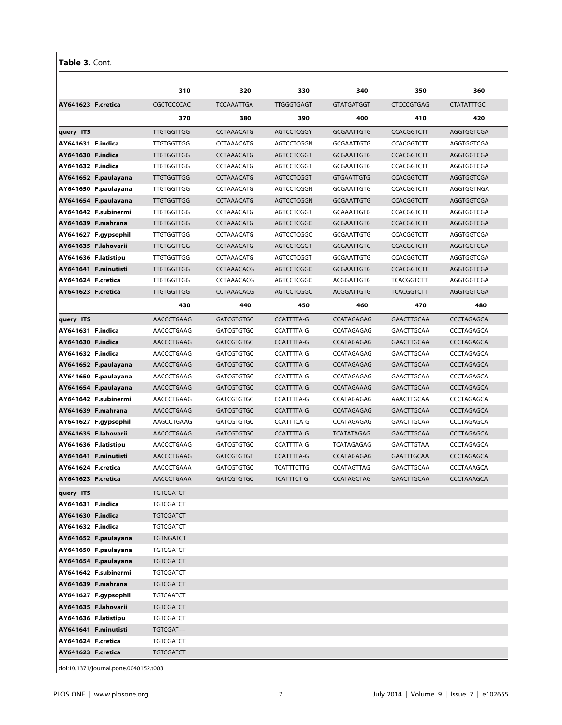Table 3. Cont.

|                      |                                            | 310                           | 320               | 330               | 340               | 350               | 360               |
|----------------------|--------------------------------------------|-------------------------------|-------------------|-------------------|-------------------|-------------------|-------------------|
| AY641623 F.cretica   |                                            | CGCTCCCCAC                    | <b>TCCAAATTGA</b> | <b>TTGGGTGAGT</b> | <b>GTATGATGGT</b> | <b>CTCCCGTGAG</b> | <b>CTATATTTGC</b> |
|                      |                                            | 370                           | 380               | 390               | 400               | 410               | 420               |
| query ITS            |                                            | <b>TTGTGGTTGG</b>             | <b>CCTAAACATG</b> | <b>AGTCCTCGGY</b> | <b>GCGAATTGTG</b> | <b>CCACGGTCTT</b> | AGGTGGTCGA        |
| AY641631 F.indica    |                                            | <b>TTGTGGTTGG</b>             | CCTAAACATG        | AGTCCTCGGN        | <b>GCGAATTGTG</b> | <b>CCACGGTCTT</b> | AGGTGGTCGA        |
| AY641630 F.indica    |                                            | TTGTGGTTGG                    | <b>CCTAAACATG</b> | AGTCCTCGGT        | <b>GCGAATTGTG</b> | <b>CCACGGTCTT</b> | AGGTGGTCGA        |
| AY641632 F.indica    |                                            | <b>TTGTGGTTGG</b>             | <b>CCTAAACATG</b> | AGTCCTCGGT        | <b>GCGAATTGTG</b> | <b>CCACGGTCTT</b> | AGGTGGTCGA        |
|                      | AY641652 F.paulayana                       | <b>TTGTGGTTGG</b>             | <b>CCTAAACATG</b> | AGTCCTCGGT        | <b>GTGAATTGTG</b> | <b>CCACGGTCTT</b> | AGGTGGTCGA        |
|                      | AY641650 F.paulayana                       | <b>TTGTGGTTGG</b>             | <b>CCTAAACATG</b> | AGTCCTCGGN        | <b>GCGAATTGTG</b> | <b>CCACGGTCTT</b> | AGGTGGTNGA        |
|                      | AY641654 F.paulayana                       | <b>TTGTGGTTGG</b>             | <b>CCTAAACATG</b> | <b>AGTCCTCGGN</b> | <b>GCGAATTGTG</b> | <b>CCACGGTCTT</b> | AGGTGGTCGA        |
|                      | AY641642 F.subinermi                       | <b>TTGTGGTTGG</b>             | CCTAAACATG        | AGTCCTCGGT        | <b>GCAAATTGTG</b> | <b>CCACGGTCTT</b> | AGGTGGTCGA        |
|                      | AY641639 F.mahrana                         | <b>TTGTGGTTGG</b>             | <b>CCTAAACATG</b> | <b>AGTCCTCGGC</b> | <b>GCGAATTGTG</b> | <b>CCACGGTCTT</b> | AGGTGGTCGA        |
|                      | AY641627 F.gypsophil                       | <b>TTGTGGTTGG</b>             | <b>CCTAAACATG</b> | AGTCCTCGGC        | <b>GCGAATTGTG</b> | <b>CCACGGTCTT</b> | AGGTGGTCGA        |
|                      | AY641635 F.lahovarii                       | <b>TTGTGGTTGG</b>             | <b>CCTAAACATG</b> | <b>AGTCCTCGGT</b> | <b>GCGAATTGTG</b> | <b>CCACGGTCTT</b> | AGGTGGTCGA        |
|                      | AY641636 F.latistipu                       | <b>TTGTGGTTGG</b>             | <b>CCTAAACATG</b> | AGTCCTCGGT        | <b>GCGAATTGTG</b> | <b>CCACGGTCTT</b> | AGGTGGTCGA        |
|                      | AY641641 F.minutisti                       | <b>TTGTGGTTGG</b>             | <b>CCTAAACACG</b> | <b>AGTCCTCGGC</b> | <b>GCGAATTGTG</b> | <b>CCACGGTCTT</b> | AGGTGGTCGA        |
| AY641624 F.cretica   |                                            | <b>TTGTGGTTGG</b>             | CCTAAACACG        | AGTCCTCGGC        | ACGGATTGTG        | <b>TCACGGTCTT</b> | AGGTGGTCGA        |
| AY641623 F.cretica   |                                            | <b>TTGTGGTTGG</b>             | <b>CCTAAACACG</b> | AGTCCTCGGC        | ACGGATTGTG        | <b>TCACGGTCTT</b> | <b>AGGTGGTCGA</b> |
|                      |                                            | 430                           | 440               | 450               | 460               | 470               | 480               |
| query ITS            |                                            | AACCCTGAAG                    | <b>GATCGTGTGC</b> | <b>CCATTTTA-G</b> | CCATAGAGAG        | <b>GAACTTGCAA</b> | CCCTAGAGCA        |
| AY641631 F.indica    |                                            | AACCCTGAAG                    | GATCGTGTGC        | CCATTTTA-G        | CCATAGAGAG        | GAACTTGCAA        | CCCTAGAGCA        |
| AY641630 F.indica    |                                            | AACCCTGAAG                    | <b>GATCGTGTGC</b> | <b>CCATTTTA-G</b> | CCATAGAGAG        | <b>GAACTTGCAA</b> | CCCTAGAGCA        |
| AY641632 F.indica    |                                            | AACCCTGAAG                    | <b>GATCGTGTGC</b> | <b>CCATTTTA-G</b> | CCATAGAGAG        | GAACTTGCAA        | CCCTAGAGCA        |
|                      | AY641652 F.paulayana                       | AACCCTGAAG                    | <b>GATCGTGTGC</b> | <b>CCATTTTA-G</b> | CCATAGAGAG        | <b>GAACTTGCAA</b> | <b>CCCTAGAGCA</b> |
|                      | AY641650 F.paulayana                       | AACCCTGAAG                    | <b>GATCGTGTGC</b> | <b>CCATTTTA-G</b> | CCATAGAGAG        | GAACTTGCAA        | CCCTAGAGCA        |
|                      | AY641654 F.paulayana                       | AACCCTGAAG                    | <b>GATCGTGTGC</b> | <b>CCATTTTA-G</b> | CCATAGAAAG        | <b>GAACTTGCAA</b> | CCCTAGAGCA        |
|                      | AY641642 F.subinermi                       | AACCCTGAAG                    | <b>GATCGTGTGC</b> | <b>CCATTTTA-G</b> | CCATAGAGAG        | AAACTTGCAA        | CCCTAGAGCA        |
|                      | AY641639 F.mahrana                         | AACCCTGAAG                    | <b>GATCGTGTGC</b> | <b>CCATTTTA-G</b> | CCATAGAGAG        | <b>GAACTTGCAA</b> | CCCTAGAGCA        |
|                      | AY641627 F.gypsophil                       | AAGCCTGAAG                    | <b>GATCGTGTGC</b> | <b>CCATTTCA-G</b> | CCATAGAGAG        | GAACTTGCAA        | CCCTAGAGCA        |
|                      | AY641635 F.lahovarii                       | AACCCTGAAG                    | <b>GATCGTGTGC</b> | <b>CCATTTTA-G</b> | <b>TCATATAGAG</b> | <b>GAACTTGCAA</b> | CCCTAGAGCA        |
| AY641636 F.latistipu |                                            | AACCCTGAAG                    | <b>GATCGTGTGC</b> | <b>CCATTTTA-G</b> | TCATAGAGAG        | GAACTTGTAA        | CCCTAGAGCA        |
|                      | AY641641 F.minutisti                       | AACCCTGAAG                    | <b>GATCGTGTGT</b> | <b>CCATTTTA-G</b> | CCATAGAGAG        | <b>GAATTTGCAA</b> | CCCTAGAGCA        |
| AY641624 F.cretica   |                                            | AACCCTGAAA                    | <b>GATCGTGTGC</b> | <b>TCATTTCTTG</b> | <b>CCATAGTTAG</b> | GAACTTGCAA        | CCCTAAAGCA        |
| AY641623 F.cretica   |                                            | AACCCTGAAA                    | <b>GATCGTGTGC</b> | <b>TCATTTCT-G</b> | <b>CCATAGCTAG</b> | <b>GAACTTGCAA</b> | CCCTAAAGCA        |
| query ITS            |                                            | <b>TGTCGATCT</b>              |                   |                   |                   |                   |                   |
| AY641631 F.indica    |                                            | TGTCGATCT                     |                   |                   |                   |                   |                   |
| AY641630 F.indica    |                                            | <b>TGTCGATCT</b>              |                   |                   |                   |                   |                   |
| AY641632 F.indica    |                                            | <b>TGTCGATCT</b>              |                   |                   |                   |                   |                   |
|                      | AY641652 F.paulayana                       | <b>TGTNGATCT</b>              |                   |                   |                   |                   |                   |
|                      | AY641650 F.paulayana                       | TGTCGATCT<br><b>TGTCGATCT</b> |                   |                   |                   |                   |                   |
|                      | AY641654 F.paulayana                       |                               |                   |                   |                   |                   |                   |
|                      | AY641642 F.subinermi<br>AY641639 F.mahrana | TGTCGATCT<br><b>TGTCGATCT</b> |                   |                   |                   |                   |                   |
|                      | AY641627 F.gypsophil                       | <b>TGTCAATCT</b>              |                   |                   |                   |                   |                   |
|                      | AY641635 F.lahovarii                       | <b>TGTCGATCT</b>              |                   |                   |                   |                   |                   |
|                      | AY641636 F.latistipu                       | <b>TGTCGATCT</b>              |                   |                   |                   |                   |                   |
|                      | AY641641 F.minutisti                       | TGTCGAT--                     |                   |                   |                   |                   |                   |
|                      | AY641624 F.cretica                         | TGTCGATCT                     |                   |                   |                   |                   |                   |
|                      |                                            |                               |                   |                   |                   |                   |                   |

doi:10.1371/journal.pone.0040152.t003